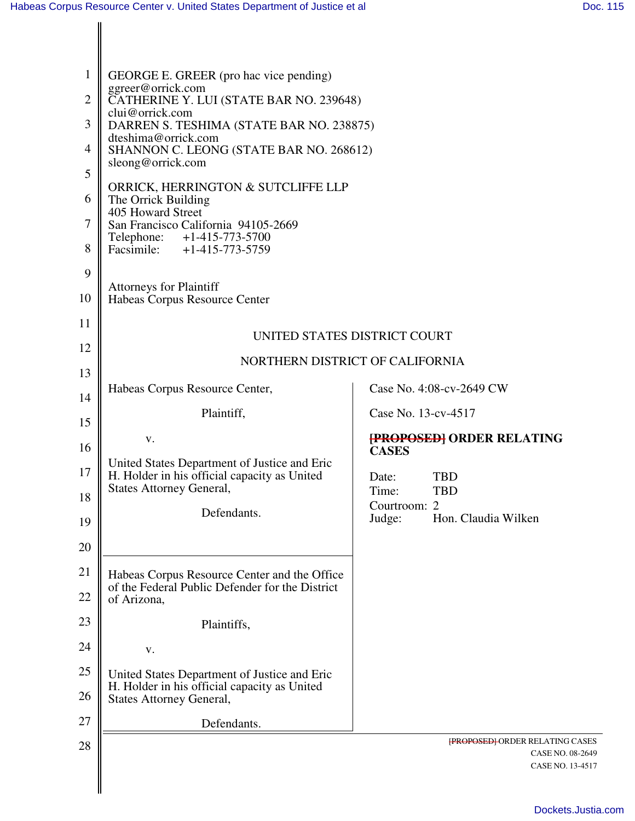| 1<br>$\overline{2}$<br>3<br>4<br>5<br>6<br>7<br>8<br>9<br>10 | GEORGE E. GREER (pro hac vice pending)<br>ggreer@orrick.com<br>CATHERINE Y. LUI (STATE BAR NO. 239648)<br>clui@orrick.com<br>DARREN S. TESHIMA (STATE BAR NO. 238875)<br>dteshima@orrick.com<br>SHANNON C. LEONG (STATE BAR NO. 268612)<br>sleong@orrick.com<br>ORRICK, HERRINGTON & SUTCLIFFE LLP<br>The Orrick Building<br>405 Howard Street<br>San Francisco California 94105-2669<br>Telephone: +1-415-773-5700<br>Facsimile: +1-415-773-5759<br><b>Attorneys for Plaintiff</b><br>Habeas Corpus Resource Center |                                                                                |
|--------------------------------------------------------------|----------------------------------------------------------------------------------------------------------------------------------------------------------------------------------------------------------------------------------------------------------------------------------------------------------------------------------------------------------------------------------------------------------------------------------------------------------------------------------------------------------------------|--------------------------------------------------------------------------------|
| 11                                                           |                                                                                                                                                                                                                                                                                                                                                                                                                                                                                                                      |                                                                                |
| 12                                                           | UNITED STATES DISTRICT COURT                                                                                                                                                                                                                                                                                                                                                                                                                                                                                         |                                                                                |
| 13                                                           | NORTHERN DISTRICT OF CALIFORNIA                                                                                                                                                                                                                                                                                                                                                                                                                                                                                      |                                                                                |
| 14                                                           | Habeas Corpus Resource Center,                                                                                                                                                                                                                                                                                                                                                                                                                                                                                       | Case No. 4:08-cv-2649 CW                                                       |
| 15                                                           | Plaintiff,                                                                                                                                                                                                                                                                                                                                                                                                                                                                                                           | Case No. 13-cv-4517                                                            |
| 16                                                           | V.                                                                                                                                                                                                                                                                                                                                                                                                                                                                                                                   | <b>FROPOSED ORDER RELATING</b><br><b>CASES</b>                                 |
| 17                                                           | United States Department of Justice and Eric<br>H. Holder in his official capacity as United<br><b>States Attorney General,</b>                                                                                                                                                                                                                                                                                                                                                                                      | <b>TBD</b><br>Date:<br>Time:<br>TBD                                            |
| 18                                                           | Defendants.                                                                                                                                                                                                                                                                                                                                                                                                                                                                                                          | Courtroom: 2<br>Hon. Claudia Wilken<br>Judge:                                  |
| 19                                                           |                                                                                                                                                                                                                                                                                                                                                                                                                                                                                                                      |                                                                                |
| 20<br>21                                                     |                                                                                                                                                                                                                                                                                                                                                                                                                                                                                                                      |                                                                                |
| 22                                                           | Habeas Corpus Resource Center and the Office<br>of the Federal Public Defender for the District<br>of Arizona,                                                                                                                                                                                                                                                                                                                                                                                                       |                                                                                |
| 23                                                           | Plaintiffs,                                                                                                                                                                                                                                                                                                                                                                                                                                                                                                          |                                                                                |
| 24                                                           | V.                                                                                                                                                                                                                                                                                                                                                                                                                                                                                                                   |                                                                                |
| 25                                                           | United States Department of Justice and Eric                                                                                                                                                                                                                                                                                                                                                                                                                                                                         |                                                                                |
| 26                                                           | H. Holder in his official capacity as United<br><b>States Attorney General,</b>                                                                                                                                                                                                                                                                                                                                                                                                                                      |                                                                                |
| 27                                                           | Defendants.                                                                                                                                                                                                                                                                                                                                                                                                                                                                                                          |                                                                                |
| 28                                                           |                                                                                                                                                                                                                                                                                                                                                                                                                                                                                                                      | <b>{PROPOSED}</b> ORDER RELATING CASES<br>CASE NO. 08-2649<br>CASE NO. 13-4517 |
|                                                              |                                                                                                                                                                                                                                                                                                                                                                                                                                                                                                                      |                                                                                |